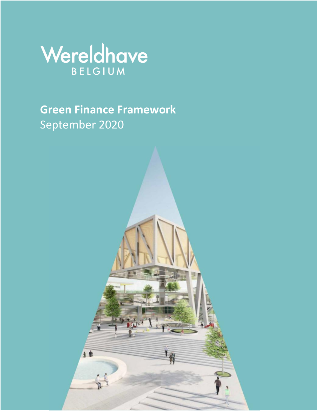

**Green Finance Framework** September 2020

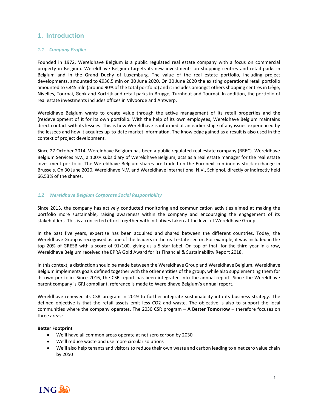# **1. Introduction**

### *1.1 Company Profile:*

Founded in 1972, Wereldhave Belgium is a public regulated real estate company with a focus on commercial property in Belgium. Wereldhave Belgium targets its new investments on shopping centres and retail parks in Belgium and in the Grand Duchy of Luxemburg. The value of the real estate portfolio, including project developments, amounted to €936.5 mln on 30 June 2020. On 30 June 2020 the existing operational retail portfolio amounted to €845 mln (around 90% of the total portfolio) and it includes amongst others shopping centres in Liège, Nivelles, Tournai, Genk and Kortrijk and retail parks in Brugge, Turnhout and Tournai. In addition, the portfolio of real estate investments includes offices in Vilvoorde and Antwerp.

Wereldhave Belgium wants to create value through the active management of its retail properties and the (re)development of it for its own portfolio. With the help of its own employees, Wereldhave Belgium maintains direct contact with its lessees. This is how Wereldhave is informed at an earlier stage of any issues experienced by the lessees and how it acquires up-to-date market information. The knowledge gained as a result is also used in the context of project development.

Since 27 October 2014, Wereldhave Belgium has been a public regulated real estate company (RREC). Wereldhave Belgium Services N.V., a 100% subsidiary of Wereldhave Belgium, acts as a real estate manager for the real estate investment portfolio. The Wereldhave Belgium shares are traded on the Euronext continuous stock exchange in Brussels. On 30 June 2020, Wereldhave N.V. and Wereldhave International N.V., Schiphol, directly or indirectly held 66.53% of the shares.

### *1.2 Wereldhave Belgium Corporate Social Responsibility*

Since 2013, the company has actively conducted monitoring and communication activities aimed at making the portfolio more sustainable, raising awareness within the company and encouraging the engagement of its stakeholders. This is a concerted effort together with initiatives taken at the level of Wereldhave Group.

In the past five years, expertise has been acquired and shared between the different countries. Today, the Wereldhave Group is recognised as one of the leaders in the real estate sector. For example, it was included in the top 20% of GRESB with a score of 91/100, giving us a 5-star label. On top of that, for the third year in a row, Wereldhave Belgium received the EPRA Gold Award for its Financial & Sustainability Report 2018.

In this context, a distinction should be made between the Wereldhave Group and Wereldhave Belgium. Wereldhave Belgium implements goals defined together with the other entities of the group, while also supplementing them for its own portfolio. Since 2016, the CSR report has been integrated into the annual report. Since the Wereldhave parent company is GRI compliant, reference is made to Wereldhave Belgium's annual report.

Wereldhave renewed its CSR program in 2019 to further integrate sustainability into its business strategy. The defined objective is that the retail assets emit less CO2 and waste. The objective is also to support the local communities where the company operates. The 2030 CSR program – **A Better Tomorrow** – therefore focuses on three areas:

### **Better Footprint**

- We'll have all common areas operate at net zero carbon by 2030
- We'll reduce waste and use more circular solutions
- We'll also help tenants and visitors to reduce their own waste and carbon leading to a net zero value chain by 2050

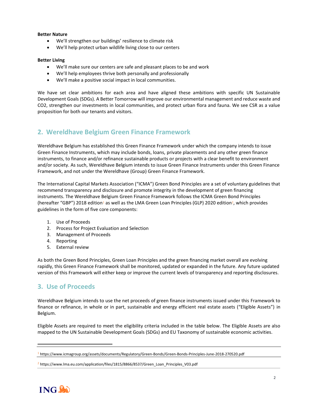### **Better Nature**

- We'll strengthen our buildings' resilience to climate risk
- We'll help protect urban wildlife living close to our centers

### **Better Living**

- We'll make sure our centers are safe and pleasant places to be and work
- We'll help employees thrive both personally and professionally
- We'll make a positive social impact in local communities.

We have set clear ambitions for each area and have aligned these ambitions with specific UN Sustainable Development Goals (SDGs). A Better Tomorrow will improve our environmental management and reduce waste and CO2, strengthen our investments in local communities, and protect urban flora and fauna. We see CSR as a value proposition for both our tenants and visitors.

# **2. Wereldhave Belgium Green Finance Framework**

Wereldhave Belgium has established this Green Finance Framework under which the company intends to issue Green Finance Instruments, which may include bonds, loans, private placements and any other green finance instruments, to finance and/or refinance sustainable products or projects with a clear benefit to environment and/or society. As such, Wereldhave Belgium intends to issue Green Finance Instruments under this Green Finance Framework, and not under the Wereldhave (Group) Green Finance Framework.

The International Capital Markets Association ("ICMA") Green Bond Principles are a set of voluntary guidelines that recommend transparency and disclosure and promote integrity in the development of green financing instruments. The Wereldhave Belgium Green Finance Framework follows the ICMA Green Bond Principles (hereafter "GBP") 2018 edition<sup>1</sup> as well as the LMA Green Loan Principles (GLP) 2020 edition<sup>2</sup>, which provides guidelines in the form of five core components:

- 1. Use of Proceeds
- 2. Process for Project Evaluation and Selection
- 3. Management of Proceeds
- 4. Reporting
- 5. External review

As both the Green Bond Principles, Green Loan Principles and the green financing market overall are evolving rapidly, this Green Finance Framework shall be monitored, updated or expanded in the future. Any future updated version of this Framework will either keep or improve the current levels of transparency and reporting disclosures.

### **3. Use of Proceeds**

Wereldhave Belgium intends to use the net proceeds of green finance instruments issued under this Framework to finance or refinance, in whole or in part, sustainable and energy efficient real estate assets ("Eligible Assets") in Belgium.

Eligible Assets are required to meet the eligibility criteria included in the table below. The Eligible Assets are also mapped to the UN Sustainable Development Goals (SDGs) and EU Taxonomy of sustainable economic activities.

 $2$  https://www.lma.eu.com/application/files/1815/8866/8537/Green\_Loan\_Principles\_V03.pdf



<sup>1</sup> https://www.icmagroup.org/assets/documents/Regulatory/Green-Bonds/Green-Bonds-Principles-June-2018-270520.pdf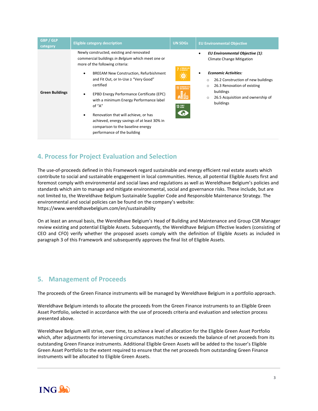| <b>GBP / GLP</b><br>category | <b>Eligible category description</b>                                                                                                                                                                                                                                                                                                                                                                                                                                                                                   | <b>UN SDGs</b>                                                             | <b>EU Environmental Objective</b>                                                                                                                                                                                                                                       |
|------------------------------|------------------------------------------------------------------------------------------------------------------------------------------------------------------------------------------------------------------------------------------------------------------------------------------------------------------------------------------------------------------------------------------------------------------------------------------------------------------------------------------------------------------------|----------------------------------------------------------------------------|-------------------------------------------------------------------------------------------------------------------------------------------------------------------------------------------------------------------------------------------------------------------------|
| <b>Green Buildings</b>       | Newly constructed, existing and renovated<br>commercial buildings in Belgium which meet one or<br>more of the following criteria:<br><b>BREEAM New Construction, Refurbishment</b><br>$\bullet$<br>and Fit Out, or In-Use ≥ "Very Good"<br>certified<br>EPBD Energy Performance Certificate (EPC)<br>with a minimum Energy Performance label<br>of "A"<br>Renovation that will achieve, or has<br>٠<br>achieved, energy savings of at least 30% in<br>comparison to the baseline energy<br>performance of the building | AFFORDABLE AP<br>Ò.<br><b>1</b> SUSTAINABLE CITTE<br><b>H</b><br>13 RUMATE | EU Environmental Objective (1):<br><b>Climate Change Mitigation</b><br><b>Economic Activities:</b><br>26.2 Construction of new buildings<br>$\circ$<br>26.3 Renovation of existing<br>$\circ$<br>buildings<br>26.5 Acquisition and ownership of<br>$\circ$<br>buildings |

# **4. Process for Project Evaluation and Selection**

The use-of-proceeds defined in this Framework regard sustainable and energy efficient real estate assets which contribute to social and sustainable engagement in local communities. Hence, all potential Eligible Assets first and foremost comply with environmental and social laws and regulations as well as Wereldhave Belgium's policies and standards which aim to manage and mitigate environmental, social and governance risks. These include, but are not limited to, the Wereldhave Belgium Sustainable Supplier Code and Responsible Maintenance Strategy. The environmental and social policies can be found on the company's website: https://www.wereldhavebelgium.com/en/sustainability

On at least an annual basis, the Wereldhave Belgium's Head of Building and Maintenance and Group CSR Manager review existing and potential Eligible Assets. Subsequently, the Wereldhave Belgium Effective leaders (consisting of CEO and CFO) verify whether the proposed assets comply with the definition of Eligible Assets as included in paragraph 3 of this Framework and subsequently approves the final list of Eligible Assets.

# **5. Management of Proceeds**

The proceeds of the Green Finance instruments will be managed by Wereldhave Belgium in a portfolio approach.

Wereldhave Belgium intends to allocate the proceeds from the Green Finance instruments to an Eligible Green Asset Portfolio, selected in accordance with the use of proceeds criteria and evaluation and selection process presented above.

Wereldhave Belgium will strive, over time, to achieve a level of allocation for the Eligible Green Asset Portfolio which, after adjustments for intervening circumstances matches or exceeds the balance of net proceeds from its outstanding Green Finance instruments. Additional Eligible Green Assets will be added to the Issuer's Eligible Green Asset Portfolio to the extent required to ensure that the net proceeds from outstanding Green Finance instruments will be allocated to Eligible Green Assets.

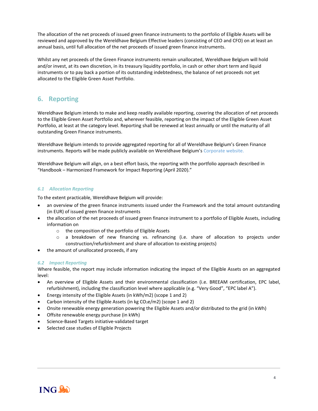The allocation of the net proceeds of issued green finance instruments to the portfolio of Eligible Assets will be reviewed and approved by the Wereldhave Belgium Effective leaders (consisting of CEO and CFO) on at least an annual basis, until full allocation of the net proceeds of issued green finance instruments.

Whilst any net proceeds of the Green Finance instruments remain unallocated, Wereldhave Belgium will hold and/or invest, at its own discretion, in its treasury liquidity portfolio, in cash or other short term and liquid instruments or to pay back a portion of its outstanding indebtedness, the balance of net proceeds not yet allocated to the Eligible Green Asset Portfolio.

# **6. Reporting**

Wereldhave Belgium intends to make and keep readily available reporting, covering the allocation of net proceeds to the Eligible Green Asset Portfolio and, wherever feasible, reporting on the impact of the Eligible Green Asset Portfolio, at least at the category level. Reporting shall be renewed at least annually or until the maturity of all outstanding Green Finance instruments.

Wereldhave Belgium intends to provide aggregated reporting for all of Wereldhave Belgium's Green Finance instruments. Reports will be made publicly available on Wereldhave Belgium's [Corporate website.](https://www.wereldhavebelgium.com/en/sustainability/)

Wereldhave Belgium will align, on a best effort basis, the reporting with the portfolio approach described in "Handbook – Harmonized Framework for Impact Reporting (April 2020)."

### *6.1 Allocation Reporting*

To the extent practicable, Wereldhave Belgium will provide:

- an overview of the green finance instruments issued under the Framework and the total amount outstanding (in EUR) of issued green finance instruments
- the allocation of the net proceeds of issued green finance instrument to a portfolio of Eligible Assets, including information on
	- o the composition of the portfolio of Eligible Assets
	- o a breakdown of new financing vs. refinancing (i.e. share of allocation to projects under construction/refurbishment and share of allocation to existing projects)
- the amount of unallocated proceeds, if any

### *6.2 Impact Reporting*

Where feasible, the report may include information indicating the impact of the Eligible Assets on an aggregated level:

- An overview of Eligible Assets and their environmental classification (i.e. BREEAM certification, EPC label, refurbishment), including the classification level where applicable (e.g. "Very Good", "EPC label A").
- Energy intensity of the Eligible Assets (in kWh/m2) (scope 1 and 2)
- Carbon intensity of the Eligible Assets (in kg  $CO<sub>2</sub>e/m2$ ) (scope 1 and 2)
- Onsite renewable energy generation powering the Eligible Assets and/or distributed to the grid (in kWh)
- Offsite renewable energy purchase (in kWh)
- Science-Based Targets initiative-validated target
- Selected case studies of Eligible Projects

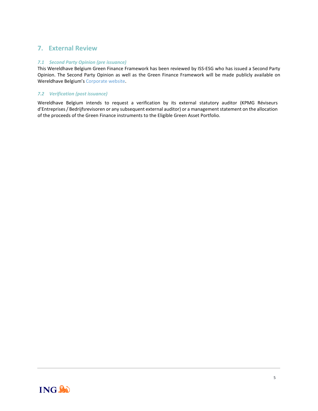# **7. External Review**

### *7.1 Second Party Opinion (pre issuance)*

This Wereldhave Belgium Green Finance Framework has been reviewed by ISS-ESG who has issued a Second Party Opinion. The Second Party Opinion as well as the Green Finance Framework will be made publicly available on Wereldhave Belgium's [Corporate website.](https://www.wereldhavebelgium.com/en/sustainability/)

### *7.2 Verification (post issuance)*

Wereldhave Belgium intends to request a verification by its external statutory auditor (KPMG Réviseurs d'Entreprises / Bedrijfsrevisoren or any subsequent external auditor) or a management statement on the allocation of the proceeds of the Green Finance instruments to the Eligible Green Asset Portfolio.